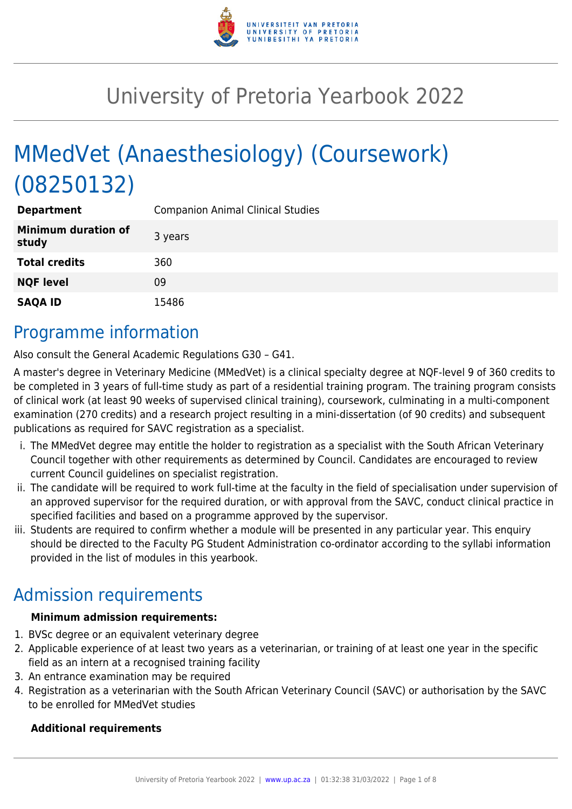

# University of Pretoria Yearbook 2022

# MMedVet (Anaesthesiology) (Coursework) (08250132)

| <b>Department</b>                   | <b>Companion Animal Clinical Studies</b> |
|-------------------------------------|------------------------------------------|
| <b>Minimum duration of</b><br>study | 3 years                                  |
| <b>Total credits</b>                | 360                                      |
| <b>NQF level</b>                    | 09                                       |
| <b>SAQA ID</b>                      | 15486                                    |

### Programme information

Also consult the General Academic Regulations G30 – G41.

A master's degree in Veterinary Medicine (MMedVet) is a clinical specialty degree at NQF-level 9 of 360 credits to be completed in 3 years of full-time study as part of a residential training program. The training program consists of clinical work (at least 90 weeks of supervised clinical training), coursework, culminating in a multi-component examination (270 credits) and a research project resulting in a mini-dissertation (of 90 credits) and subsequent publications as required for SAVC registration as a specialist.

- i. The MMedVet degree may entitle the holder to registration as a specialist with the South African Veterinary Council together with other requirements as determined by Council. Candidates are encouraged to review current Council guidelines on specialist registration.
- ii. The candidate will be required to work full-time at the faculty in the field of specialisation under supervision of an approved supervisor for the required duration, or with approval from the SAVC, conduct clinical practice in specified facilities and based on a programme approved by the supervisor.
- iii. Students are required to confirm whether a module will be presented in any particular year. This enquiry should be directed to the Faculty PG Student Administration co-ordinator according to the syllabi information provided in the list of modules in this yearbook.

# Admission requirements

#### **Minimum admission requirements:**

- 1. BVSc degree or an equivalent veterinary degree
- 2. Applicable experience of at least two years as a veterinarian, or training of at least one year in the specific field as an intern at a recognised training facility
- 3. An entrance examination may be required
- 4. Registration as a veterinarian with the South African Veterinary Council (SAVC) or authorisation by the SAVC to be enrolled for MMedVet studies

#### **Additional requirements**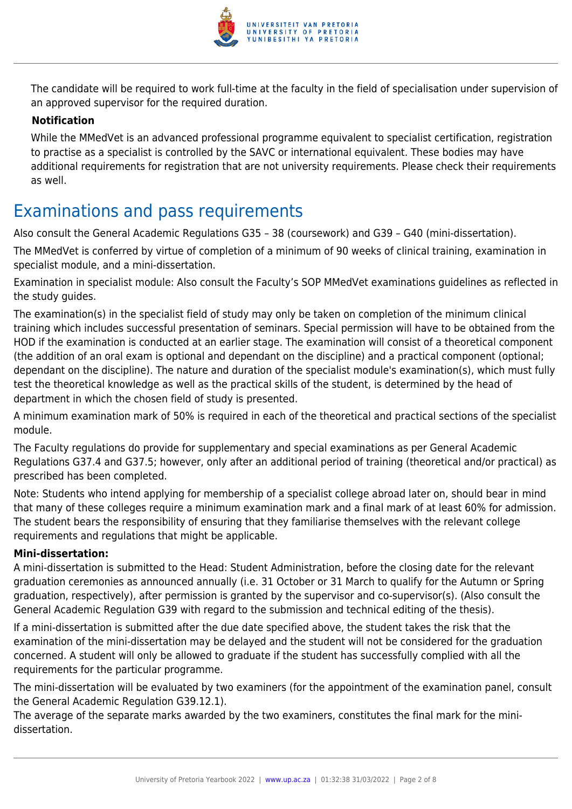

The candidate will be required to work full-time at the faculty in the field of specialisation under supervision of an approved supervisor for the required duration.

#### **Notification**

While the MMedVet is an advanced professional programme equivalent to specialist certification, registration to practise as a specialist is controlled by the SAVC or international equivalent. These bodies may have additional requirements for registration that are not university requirements. Please check their requirements as well.

### Examinations and pass requirements

Also consult the General Academic Regulations G35 – 38 (coursework) and G39 – G40 (mini-dissertation).

The MMedVet is conferred by virtue of completion of a minimum of 90 weeks of clinical training, examination in specialist module, and a mini-dissertation.

Examination in specialist module: Also consult the Faculty's SOP MMedVet examinations guidelines as reflected in the study guides.

The examination(s) in the specialist field of study may only be taken on completion of the minimum clinical training which includes successful presentation of seminars. Special permission will have to be obtained from the HOD if the examination is conducted at an earlier stage. The examination will consist of a theoretical component (the addition of an oral exam is optional and dependant on the discipline) and a practical component (optional; dependant on the discipline). The nature and duration of the specialist module's examination(s), which must fully test the theoretical knowledge as well as the practical skills of the student, is determined by the head of department in which the chosen field of study is presented.

A minimum examination mark of 50% is required in each of the theoretical and practical sections of the specialist module.

The Faculty regulations do provide for supplementary and special examinations as per General Academic Regulations G37.4 and G37.5; however, only after an additional period of training (theoretical and/or practical) as prescribed has been completed.

Note: Students who intend applying for membership of a specialist college abroad later on, should bear in mind that many of these colleges require a minimum examination mark and a final mark of at least 60% for admission. The student bears the responsibility of ensuring that they familiarise themselves with the relevant college requirements and regulations that might be applicable.

#### **Mini-dissertation:**

A mini-dissertation is submitted to the Head: Student Administration, before the closing date for the relevant graduation ceremonies as announced annually (i.e. 31 October or 31 March to qualify for the Autumn or Spring graduation, respectively), after permission is granted by the supervisor and co-supervisor(s). (Also consult the General Academic Regulation G39 with regard to the submission and technical editing of the thesis).

If a mini-dissertation is submitted after the due date specified above, the student takes the risk that the examination of the mini-dissertation may be delayed and the student will not be considered for the graduation concerned. A student will only be allowed to graduate if the student has successfully complied with all the requirements for the particular programme.

The mini-dissertation will be evaluated by two examiners (for the appointment of the examination panel, consult the General Academic Regulation G39.12.1).

The average of the separate marks awarded by the two examiners, constitutes the final mark for the minidissertation.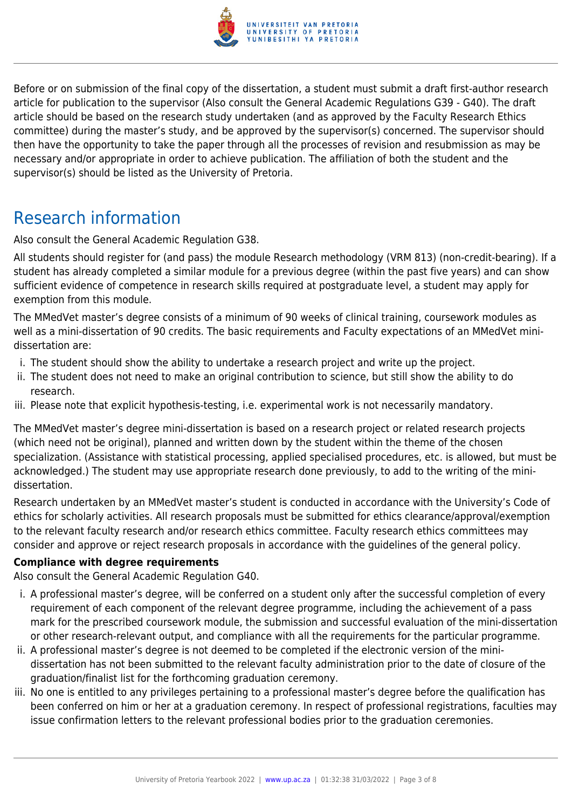

Before or on submission of the final copy of the dissertation, a student must submit a draft first-author research article for publication to the supervisor (Also consult the General Academic Regulations G39 - G40). The draft article should be based on the research study undertaken (and as approved by the Faculty Research Ethics committee) during the master's study, and be approved by the supervisor(s) concerned. The supervisor should then have the opportunity to take the paper through all the processes of revision and resubmission as may be necessary and/or appropriate in order to achieve publication. The affiliation of both the student and the supervisor(s) should be listed as the University of Pretoria.

## Research information

Also consult the General Academic Regulation G38.

All students should register for (and pass) the module Research methodology (VRM 813) (non-credit-bearing). If a student has already completed a similar module for a previous degree (within the past five years) and can show sufficient evidence of competence in research skills required at postgraduate level, a student may apply for exemption from this module.

The MMedVet master's degree consists of a minimum of 90 weeks of clinical training, coursework modules as well as a mini-dissertation of 90 credits. The basic requirements and Faculty expectations of an MMedVet minidissertation are:

- i. The student should show the ability to undertake a research project and write up the project.
- ii. The student does not need to make an original contribution to science, but still show the ability to do research.
- iii. Please note that explicit hypothesis-testing, i.e. experimental work is not necessarily mandatory.

The MMedVet master's degree mini-dissertation is based on a research project or related research projects (which need not be original), planned and written down by the student within the theme of the chosen specialization. (Assistance with statistical processing, applied specialised procedures, etc. is allowed, but must be acknowledged.) The student may use appropriate research done previously, to add to the writing of the minidissertation.

Research undertaken by an MMedVet master's student is conducted in accordance with the University's Code of ethics for scholarly activities. All research proposals must be submitted for ethics clearance/approval/exemption to the relevant faculty research and/or research ethics committee. Faculty research ethics committees may consider and approve or reject research proposals in accordance with the guidelines of the general policy.

#### **Compliance with degree requirements**

Also consult the General Academic Regulation G40.

- i. A professional master's degree, will be conferred on a student only after the successful completion of every requirement of each component of the relevant degree programme, including the achievement of a pass mark for the prescribed coursework module, the submission and successful evaluation of the mini-dissertation or other research-relevant output, and compliance with all the requirements for the particular programme.
- ii. A professional master's degree is not deemed to be completed if the electronic version of the minidissertation has not been submitted to the relevant faculty administration prior to the date of closure of the graduation/finalist list for the forthcoming graduation ceremony.
- iii. No one is entitled to any privileges pertaining to a professional master's degree before the qualification has been conferred on him or her at a graduation ceremony. In respect of professional registrations, faculties may issue confirmation letters to the relevant professional bodies prior to the graduation ceremonies.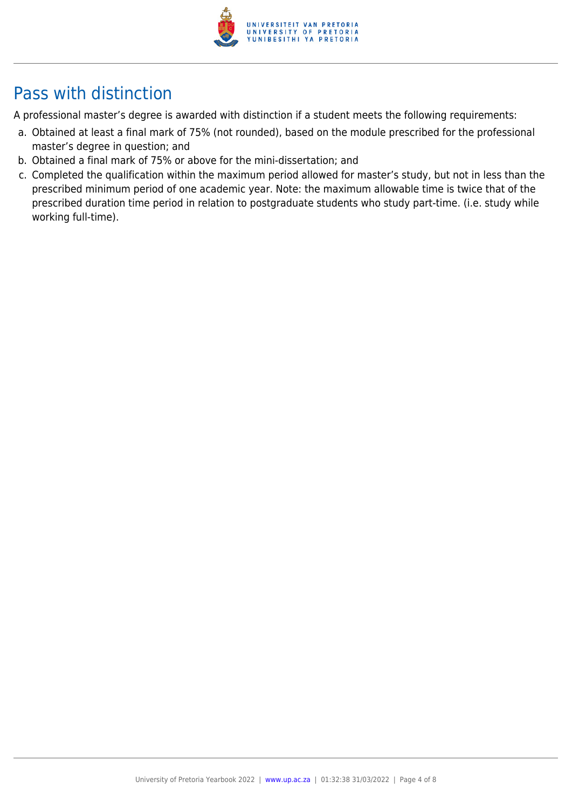

# Pass with distinction

A professional master's degree is awarded with distinction if a student meets the following requirements:

- a. Obtained at least a final mark of 75% (not rounded), based on the module prescribed for the professional master's degree in question; and
- b. Obtained a final mark of 75% or above for the mini-dissertation; and
- c. Completed the qualification within the maximum period allowed for master's study, but not in less than the prescribed minimum period of one academic year. Note: the maximum allowable time is twice that of the prescribed duration time period in relation to postgraduate students who study part-time. (i.e. study while working full-time).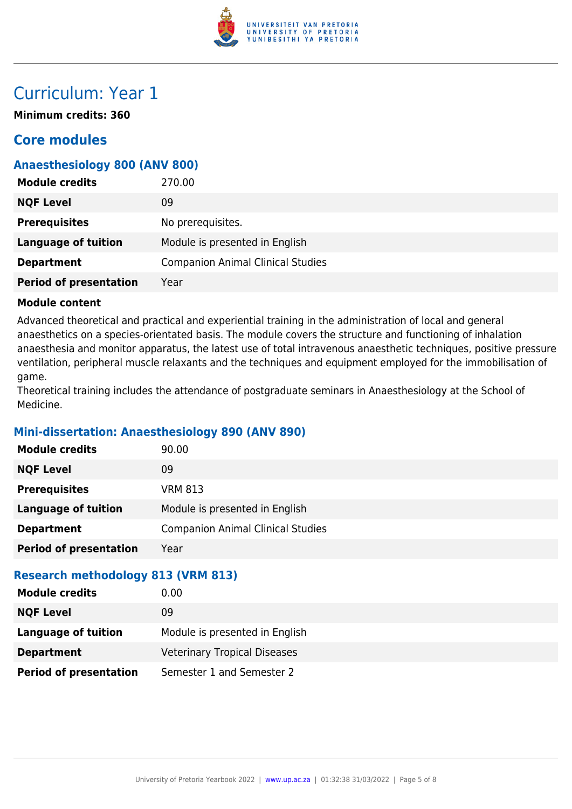

### Curriculum: Year 1

**Minimum credits: 360**

### **Core modules**

#### **Anaesthesiology 800 (ANV 800)**

| <b>Module credits</b>         | 270.00                                   |
|-------------------------------|------------------------------------------|
| <b>NQF Level</b>              | 09                                       |
| <b>Prerequisites</b>          | No prerequisites.                        |
| <b>Language of tuition</b>    | Module is presented in English           |
| <b>Department</b>             | <b>Companion Animal Clinical Studies</b> |
| <b>Period of presentation</b> | Year                                     |

#### **Module content**

Advanced theoretical and practical and experiential training in the administration of local and general anaesthetics on a species-orientated basis. The module covers the structure and functioning of inhalation anaesthesia and monitor apparatus, the latest use of total intravenous anaesthetic techniques, positive pressure ventilation, peripheral muscle relaxants and the techniques and equipment employed for the immobilisation of game.

Theoretical training includes the attendance of postgraduate seminars in Anaesthesiology at the School of Medicine.

#### **Mini-dissertation: Anaesthesiology 890 (ANV 890)**

| <b>Module credits</b>                     | 90.00                                    |
|-------------------------------------------|------------------------------------------|
| <b>NQF Level</b>                          | 09                                       |
| <b>Prerequisites</b>                      | <b>VRM 813</b>                           |
| <b>Language of tuition</b>                | Module is presented in English           |
| <b>Department</b>                         | <b>Companion Animal Clinical Studies</b> |
| <b>Period of presentation</b>             | Year                                     |
| <b>Research methodology 813 (VRM 813)</b> |                                          |
| <b>Module credits</b>                     | 0.00                                     |
| <b>NQF Level</b>                          | 09                                       |
| <b>Language of tuition</b>                | Module is presented in English           |
| <b>Department</b>                         | <b>Veterinary Tropical Diseases</b>      |

**Period of presentation** Semester 1 and Semester 2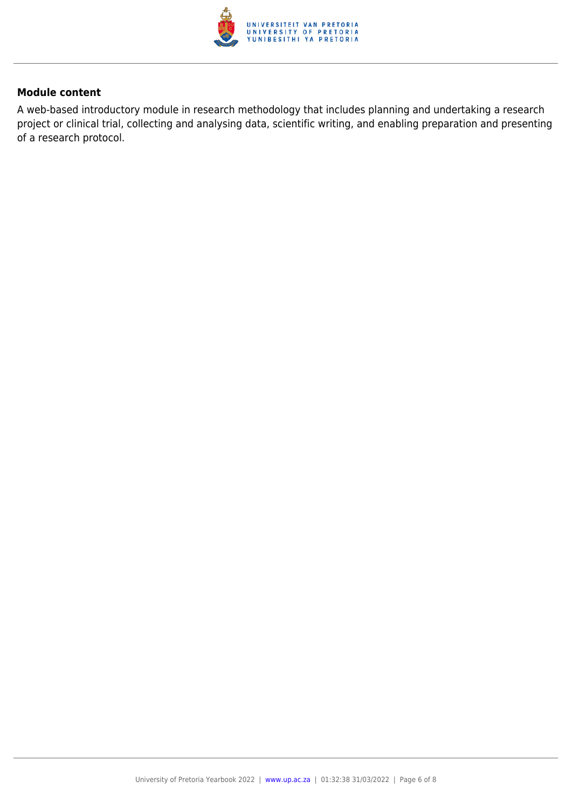

#### **Module content**

A web-based introductory module in research methodology that includes planning and undertaking a research project or clinical trial, collecting and analysing data, scientific writing, and enabling preparation and presenting of a research protocol.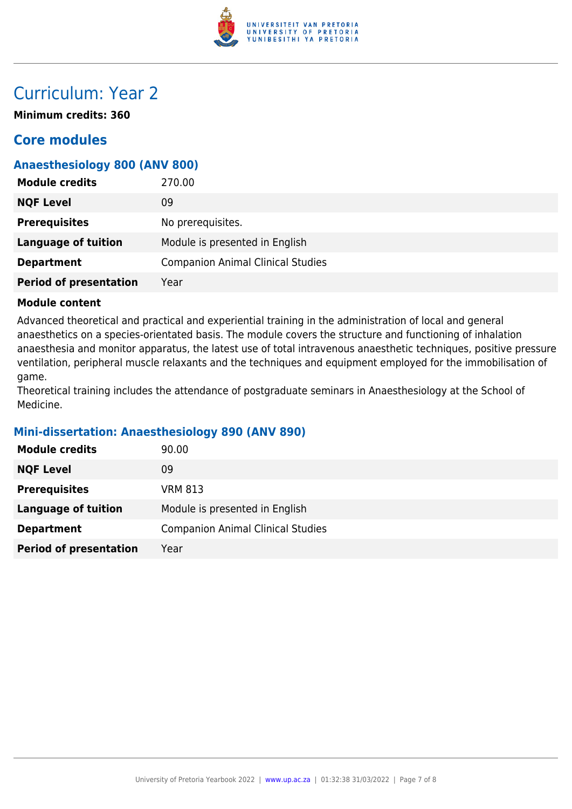

### Curriculum: Year 2

**Minimum credits: 360**

### **Core modules**

#### **Anaesthesiology 800 (ANV 800)**

| <b>Module credits</b>         | 270.00                                   |
|-------------------------------|------------------------------------------|
| <b>NQF Level</b>              | 09                                       |
| <b>Prerequisites</b>          | No prerequisites.                        |
| <b>Language of tuition</b>    | Module is presented in English           |
| <b>Department</b>             | <b>Companion Animal Clinical Studies</b> |
| <b>Period of presentation</b> | Year                                     |

#### **Module content**

Advanced theoretical and practical and experiential training in the administration of local and general anaesthetics on a species-orientated basis. The module covers the structure and functioning of inhalation anaesthesia and monitor apparatus, the latest use of total intravenous anaesthetic techniques, positive pressure ventilation, peripheral muscle relaxants and the techniques and equipment employed for the immobilisation of game.

Theoretical training includes the attendance of postgraduate seminars in Anaesthesiology at the School of Medicine.

#### **Mini-dissertation: Anaesthesiology 890 (ANV 890)**

| <b>Module credits</b>         | 90.00                                    |
|-------------------------------|------------------------------------------|
| <b>NQF Level</b>              | 09                                       |
| <b>Prerequisites</b>          | <b>VRM 813</b>                           |
| <b>Language of tuition</b>    | Module is presented in English           |
| <b>Department</b>             | <b>Companion Animal Clinical Studies</b> |
| <b>Period of presentation</b> | Year                                     |
|                               |                                          |